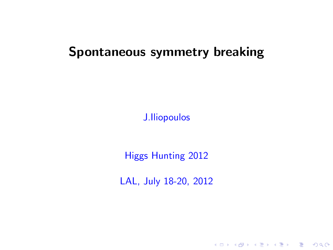### Spontaneous symmetry breaking

J.Iliopoulos

Higgs Hunting 2012

LAL, July 18-20, 2012

K ロ ▶ K @ ▶ K 할 X X 할 X 및 할 X 9 Q Q\*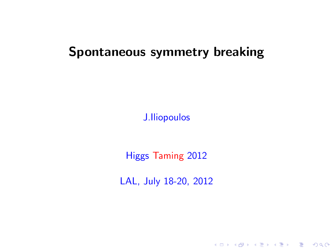### Spontaneous symmetry breaking

J.Iliopoulos

Higgs Taming 2012

LAL, July 18-20, 2012

K ロ ▶ K @ ▶ K 할 X X 할 X 및 할 X 9 Q Q\*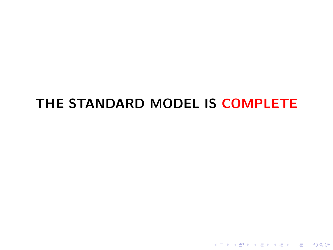## THE STANDARD MODEL IS COMPLETE

イロト イ母 トイミト イミト ニヨー りんぴ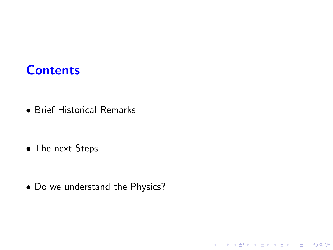#### **Contents**

• Brief Historical Remarks

• The next Steps

• Do we understand the Physics?

K ロ K K (P) K (E) K (E) X (E) X (P) K (P)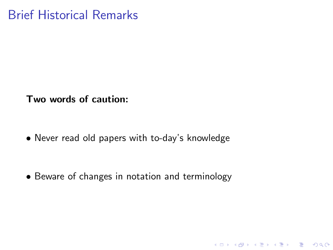Two words of caution:

• Never read old papers with to-day's knowledge

• Beware of changes in notation and terminology

K ロ ▶ K @ ▶ K 할 ▶ K 할 ▶ | 할 | © 9 Q @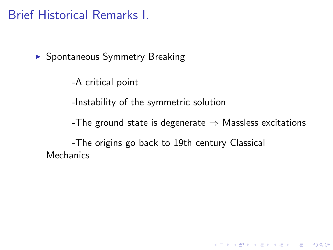▶ Spontaneous Symmetry Breaking

-A critical point

-Instability of the symmetric solution

-The ground state is degenerate  $\Rightarrow$  Massless excitations

K ロ ▶ K @ ▶ K 할 > K 할 > 1 할 > 1 이익어

-The origins go back to 19th century Classical **Mechanics**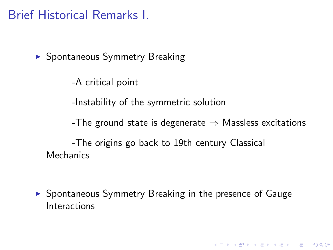▶ Spontaneous Symmetry Breaking

-A critical point

-Instability of the symmetric solution

-The ground state is degenerate  $\Rightarrow$  Massless excitations

**K ロ ▶ K @ ▶ K 할 X K 할 X - 할 X - 9 Q Q ^** 

-The origins go back to 19th century Classical **Mechanics** 

► Spontaneous Symmetry Breaking in the presence of Gauge **Interactions**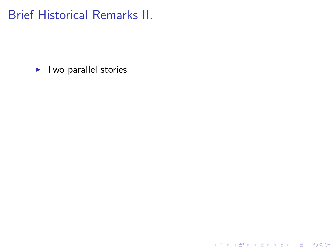$\blacktriangleright$  Two parallel stories

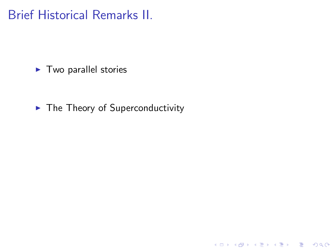$\blacktriangleright$  Two parallel stories

 $\blacktriangleright$  The Theory of Superconductivity

K ロ ▶ K @ ▶ K 할 ▶ K 할 ▶ ( 할 ) 19 Q Q ·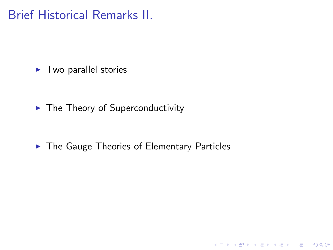$\blacktriangleright$  Two parallel stories

 $\blacktriangleright$  The Theory of Superconductivity

▶ The Gauge Theories of Elementary Particles

K ロ K K (P) K (E) K (E) X (E) X (P) K (P)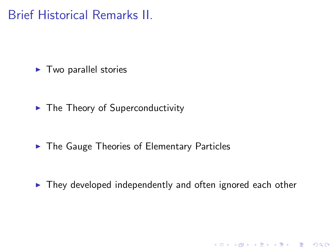$\blacktriangleright$  Two parallel stories

 $\blacktriangleright$  The Theory of Superconductivity

▶ The Gauge Theories of Elementary Particles

▶ They developed independently and often ignored each other

K ロ ▶ K @ ▶ K 할 > K 할 > 1 할 > 1 이익어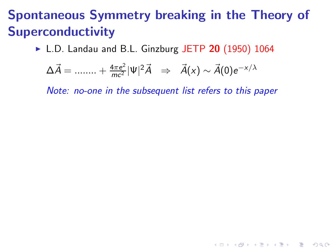► L.D. Landau and B.L. Ginzburg JETP 20 (1950) 1064

$$
\Delta \vec{A} = \dots + \frac{4\pi e^2}{mc^2} |\Psi|^2 \vec{A} \Rightarrow \vec{A}(x) \sim \vec{A}(0) e^{-x/\lambda}
$$

*Note: no-one in the subsequent list refers to this paper*

**KORK EXTERNE PROVIDE**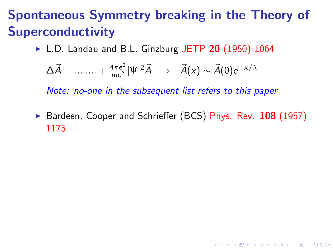$\triangleright$  L.D. Landau and B.L. Ginzburg JETP 20 (1950) 1064

$$
\Delta \vec{A} = \dots + \frac{4\pi e^2}{mc^2} |\Psi|^2 \vec{A} \Rightarrow \vec{A}(x) \sim \vec{A}(0) e^{-x/\lambda}
$$

*Note: no-one in the subsequent list refers to this paper*

▶ Bardeen, Cooper and Schrieffer (BCS) Phys. Rev. 108 (1957) 1175

**KORK EXTERNE PROVIDE**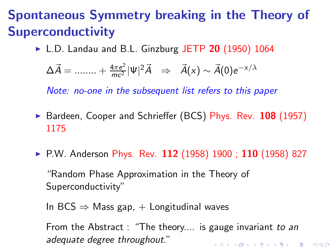$\triangleright$  L.D. Landau and B.L. Ginzburg JETP 20 (1950) 1064

$$
\Delta \vec{A} = \dots + \frac{4\pi e^2}{mc^2} |\Psi|^2 \vec{A} \Rightarrow \vec{A}(x) \sim \vec{A}(0) e^{-x/\lambda}
$$

*Note: no-one in the subsequent list refers to this paper*

- ▶ Bardeen, Cooper and Schrieffer (BCS) Phys. Rev. 108 (1957) 1175
- ▶ P.W. Anderson Phys. Rev. 112 (1958) 1900 ; 110 (1958) 827

"Random Phase Approximation in the Theory of Superconductivity"

In BCS  $\Rightarrow$  Mass gap,  $+$  Longitudinal waves

From the Abstract : "The theory.... is gauge invariant *to an adequate degree throughout.*"**K ロ ▶ K @ ▶ K 할 X K 할 X - 할 X - 9 Q Q ^**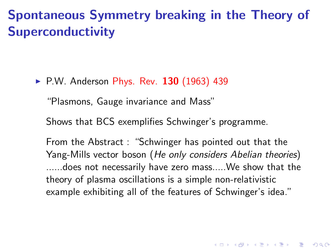▶ P.W. Anderson Phys. Rev. 130 (1963) 439

"Plasmons, Gauge invariance and Mass"

Shows that BCS exemplifies Schwinger's programme.

From the Abstract : "Schwinger has pointed out that the Yang-Mills vector boson (*He only considers Abelian theories*) ......does not necessarily have zero mass.....We show that the theory of plasma oscillations is a simple non-relativistic example exhibiting all of the features of Schwinger's idea."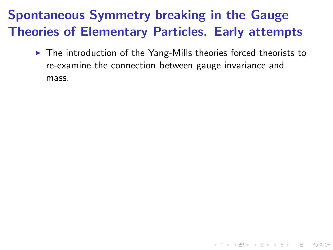▶ The introduction of the Yang-Mills theories forced theorists to re-examine the connection between gauge invariance and mass.

K ロ ▶ K @ ▶ K 할 > K 할 > 1 할 > 1 이익어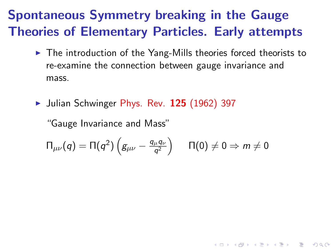- ▶ The introduction of the Yang-Mills theories forced theorists to re-examine the connection between gauge invariance and mass.
- ▶ Julian Schwinger Phys. Rev. 125 (1962) 397

"Gauge Invariance and Mass"

$$
\Pi_{\mu\nu}(q)=\Pi(q^2)\left(\textcolor{black}{g_{\mu\nu}-\frac{q_\mu q_\nu}{q^2}}\right)\hspace{.2 in} \Pi(0)\neq 0\Rightarrow m\neq 0
$$

K ロ ▶ K @ ▶ K 할 > K 할 > 1 할 > 1 이익어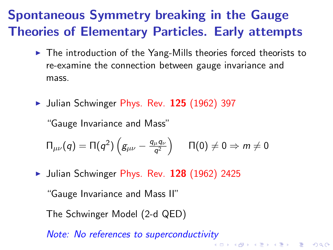- ▶ The introduction of the Yang-Mills theories forced theorists to re-examine the connection between gauge invariance and mass.
- $\blacktriangleright$  Julian Schwinger Phys. Rev. 125 (1962) 397

"Gauge Invariance and Mass"

$$
\Pi_{\mu\nu}(q)=\Pi(q^2)\left(g_{\mu\nu}-\tfrac{q_\mu q_\nu}{q^2}\right)\quad \, \Pi(0)\neq 0\Rightarrow m\neq 0
$$

 $\blacktriangleright$  Julian Schwinger Phys. Rev. 128 (1962) 2425

"Gauge Invariance and Mass II"

The Schwinger Model (2-d QED)

*Note: No references to superconductivity*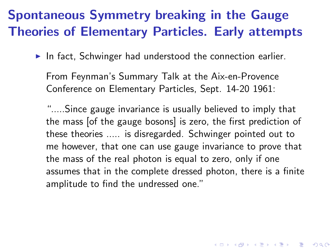$\blacktriangleright$  In fact, Schwinger had understood the connection earlier.

From Feynman's Summary Talk at the Aix-en-Provence Conference on Elementary Particles, Sept. 14-20 1961:

".....Since gauge invariance is usually believed to imply that the mass [of the gauge bosons] is zero, the first prediction of these theories ..... is disregarded. Schwinger pointed out to me however, that one can use gauge invariance to prove that the mass of the real photon is equal to zero, only if one assumes that in the complete dressed photon, there is a finite amplitude to find the undressed one."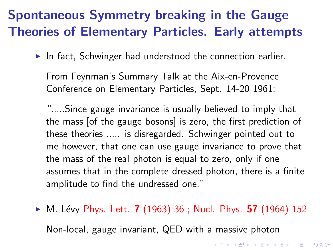$\blacktriangleright$  In fact, Schwinger had understood the connection earlier.

From Feynman's Summary Talk at the Aix-en-Provence Conference on Elementary Particles, Sept. 14-20 1961:

".....Since gauge invariance is usually believed to imply that the mass [of the gauge bosons] is zero, the first prediction of these theories ..... is disregarded. Schwinger pointed out to me however, that one can use gauge invariance to prove that the mass of the real photon is equal to zero, only if one assumes that in the complete dressed photon, there is a finite amplitude to find the undressed one."

 $\triangleright$  M. Lévy Phys. Lett. **7** (1963) 36 ; Nucl. Phys. **57** (1964) 152 Non-local, gauge invariant, QED with a massive photon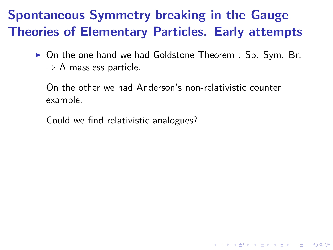▶ On the one hand we had Goldstone Theorem : Sp. Sym. Br.  $\Rightarrow$  A massless particle.

On the other we had Anderson's non-relativistic counter example.

**KORK EXTERNE PROVIDE** 

Could we find relativistic analogues?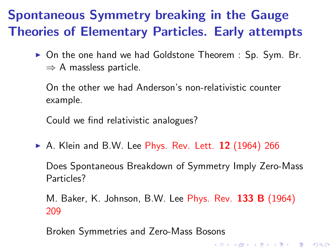▶ On the one hand we had Goldstone Theorem : Sp. Sym. Br.  $\Rightarrow$  A massless particle.

On the other we had Anderson's non-relativistic counter example.

Could we find relativistic analogues?

 $\triangleright$  A. Klein and B.W. Lee Phys. Rev. Lett. 12 (1964) 266

Does Spontaneous Breakdown of Symmetry Imply Zero-Mass Particles?

M. Baker, K. Johnson, B.W. Lee Phys. Rev. 133 B (1964) 209

**K ロ ▶ K @ ▶ K 할 X K 할 X - 할 X - 9 Q Q ^** 

Broken Symmetries and Zero-Mass Bosons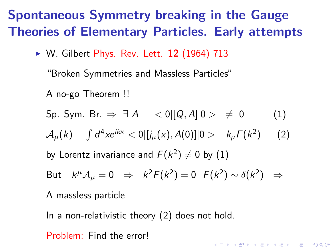▶ W. Gilbert Phys. Rev. Lett. 12 (1964) 713

"Broken Symmetries and Massless Particles"

A no-go Theorem !!

Sp. Sym. Br.  $\Rightarrow$  ∃ *A*  $\langle 0| [Q, A]|0 \rangle \neq 0$  (1)  ${\cal A}_\mu(k) = \int d^4 x e^{ikx} < 0$   $|j_\mu(x), A(0)]$   $|0> = k_\mu F(k^2)$  $(2)$ by Lorentz invariance and  $F(k^2) \neq 0$  by  $(1)$ 

But 
$$
k^{\mu}A_{\mu} = 0 \Rightarrow k^2F(k^2) = 0 \quad F(k^2) \sim \delta(k^2) \Rightarrow
$$

A massless particle

In a non-relativistic theory (2) does not hold. Problem: Find the error!**ALL KAR KERKER EL VOLO**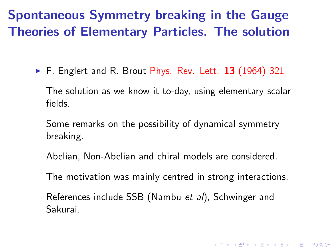$\blacktriangleright$  F. Englert and R. Brout Phys. Rev. Lett. 13 (1964) 321

The solution as we know it to-day, using elementary scalar fields.

Some remarks on the possibility of dynamical symmetry breaking.

Abelian, Non-Abelian and chiral models are considered.

The motivation was mainly centred in strong interactions.

**K ロ ▶ K @ ▶ K 할 X K 할 X - 할 X - 9 Q Q ^** 

References include SSB (Nambu *et al*), Schwinger and Sakurai.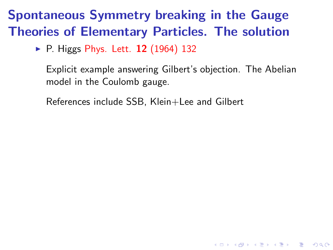$\triangleright$  P. Higgs Phys. Lett. 12 (1964) 132

Explicit example answering Gilbert's objection. The Abelian model in the Coulomb gauge.

**K ロ ▶ K @ ▶ K 할 X K 할 X - 할 X - 9 Q Q ^** 

References include SSB, Klein+Lee and Gilbert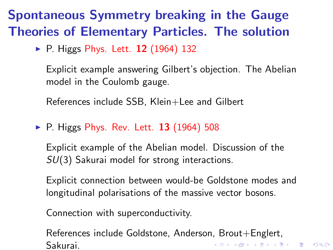▶ P. Higgs Phys. Lett. 12 (1964) 132

Explicit example answering Gilbert's objection. The Abelian model in the Coulomb gauge.

References include SSB, Klein+Lee and Gilbert

 $\triangleright$  P. Higgs Phys. Rev. Lett. 13 (1964) 508

Explicit example of the Abelian model. Discussion of the *SU*(3) Sakurai model for strong interactions.

Explicit connection between would-be Goldstone modes and longitudinal polarisations of the massive vector bosons.

Connection with superconductivity.

References include Goldstone, Anderson, Brout+Englert, **K ロ ▶ K @ ▶ K 할 X K 할 X - 할 X - 9 Q Q ^** Sakurai.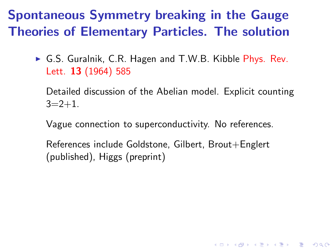► G.S. Guralnik, C.R. Hagen and T.W.B. Kibble Phys. Rev. Lett. 13 (1964) 585

Detailed discussion of the Abelian model. Explicit counting  $3=2+1$ .

K ロ ▶ K @ ▶ K 할 > K 할 > 1 할 > 1 이익어

Vague connection to superconductivity. No references.

References include Goldstone, Gilbert, Brout+Englert (published), Higgs (preprint)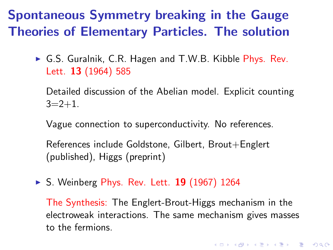► G.S. Guralnik, C.R. Hagen and T.W.B. Kibble Phys. Rev. Lett. 13 (1964) 585

Detailed discussion of the Abelian model. Explicit counting  $3=2+1$ .

Vague connection to superconductivity. No references.

References include Goldstone, Gilbert, Brout+Englert (published), Higgs (preprint)

► S. Weinberg Phys. Rev. Lett. 19 (1967) 1264

The Synthesis: The Englert-Brout-Higgs mechanism in the electroweak interactions. The same mechanism gives masses to the fermions.

**K ロ ▶ K @ ▶ K 할 X K 할 X - 할 X - 9 Q Q ^**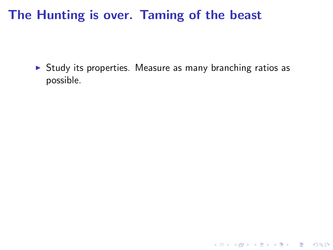▶ Study its properties. Measure as many branching ratios as possible.

K ロ ▶ K @ ▶ K 할 ▶ K 할 ▶ ( 할 ) 19 Q Q ·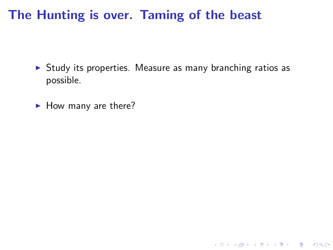▶ Study its properties. Measure as many branching ratios as possible.

K ロ ▶ K @ ▶ K 할 X X 할 X 및 할 X 9 Q Q\*

 $\blacktriangleright$  How many are there?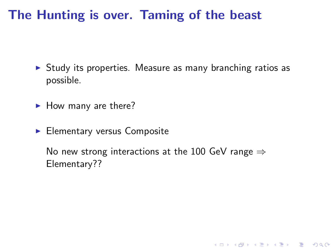- ► Study its properties. Measure as many branching ratios as possible.
- $\blacktriangleright$  How many are there?
- ▶ Elementary versus Composite

No new strong interactions at the 100 GeV range  $\Rightarrow$ Elementary??

K ロ ▶ K @ ▶ K 할 > K 할 > 1 할 > 1 이익어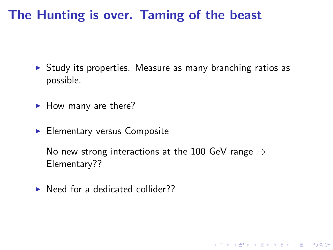- ► Study its properties. Measure as many branching ratios as possible.
- $\blacktriangleright$  How many are there?
- ▶ Elementary versus Composite

No new strong interactions at the 100 GeV range  $\Rightarrow$ Elementary??

**KORK EXTERNE PROVIDE** 

 $\triangleright$  Need for a dedicated collider??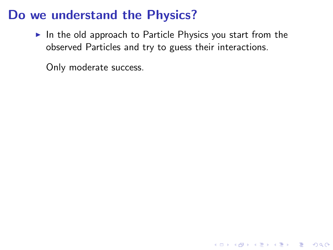$\triangleright$  In the old approach to Particle Physics you start from the observed Particles and try to guess their interactions.

K ロ ▶ K @ ▶ K 할 > K 할 > 1 할 > 1 이익어

Only moderate success.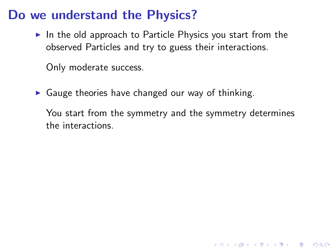$\triangleright$  In the old approach to Particle Physics you start from the observed Particles and try to guess their interactions.

Only moderate success.

 $\triangleright$  Gauge theories have changed our way of thinking.

You start from the symmetry and the symmetry determines the interactions.

**KORK EXTERNE PROVIDE**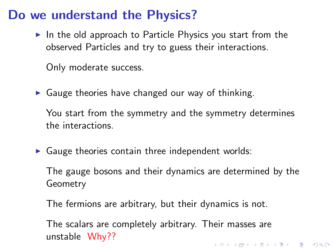$\triangleright$  In the old approach to Particle Physics you start from the observed Particles and try to guess their interactions.

Only moderate success.

 $\triangleright$  Gauge theories have changed our way of thinking.

You start from the symmetry and the symmetry determines the interactions.

 $\triangleright$  Gauge theories contain three independent worlds:

The gauge bosons and their dynamics are determined by the Geometry

The fermions are arbitrary, but their dynamics is not.

The scalars are completely arbitrary. Their masses are unstable Why??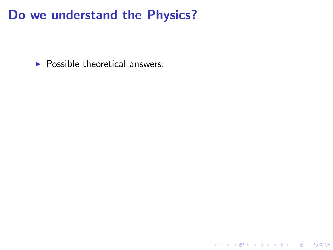$\blacktriangleright$  Possible theoretical answers:

**K ロ K イロ K K モ K K モ K エ エ エ イ の Q (^**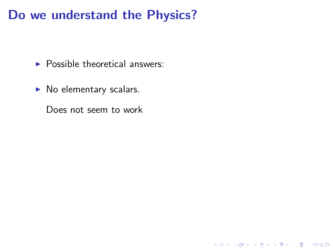$\blacktriangleright$  Possible theoretical answers:

 $\blacktriangleright$  No elementary scalars.

Does not seem to work

K ロ ▶ K @ ▶ K 할 ▶ K 할 ▶ | 할 | © 9 Q @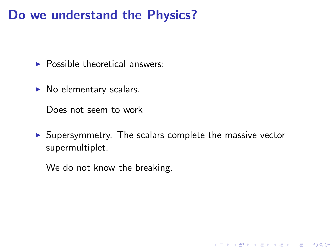$\blacktriangleright$  Possible theoretical answers:

 $\blacktriangleright$  No elementary scalars.

Does not seem to work

▶ Supersymmetry. The scalars complete the massive vector supermultiplet.

K ロ ▶ K @ ▶ K 할 > K 할 > 1 할 > 1 이익어

We do not know the breaking.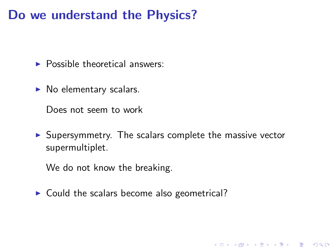$\blacktriangleright$  Possible theoretical answers:

 $\triangleright$  No elementary scalars.

Does not seem to work

▶ Supersymmetry. The scalars complete the massive vector supermultiplet.

**ADD YEARS ARA YOUR** 

We do not know the breaking.

 $\triangleright$  Could the scalars become also geometrical?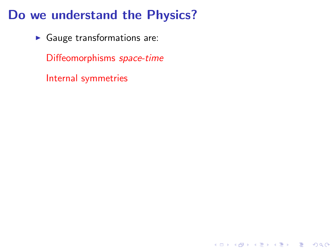▶ Gauge transformations are:

Diffeomorphisms *space-time*

Internal symmetries

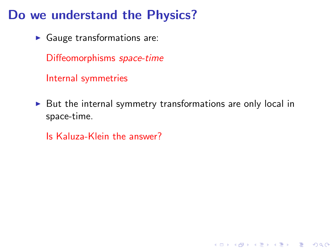$\blacktriangleright$  Gauge transformations are:

Diffeomorphisms *space-time*

Internal symmetries

 $\triangleright$  But the internal symmetry transformations are only local in space-time.

K ロ ▶ K @ ▶ K 할 > K 할 > 1 할 > 1 이익어

Is Kaluza-Klein the answer?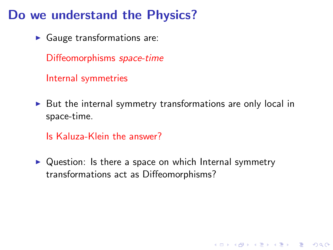$\blacktriangleright$  Gauge transformations are:

Diffeomorphisms *space-time*

Internal symmetries

 $\triangleright$  But the internal symmetry transformations are only local in space-time.

Is Kaluza-Klein the answer?

 $\triangleright$  Question: Is there a space on which Internal symmetry transformations act as Diffeomorphisms?

**KORK EXTERNE PROVIDE**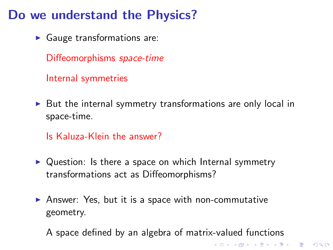$\blacktriangleright$  Gauge transformations are:

Diffeomorphisms *space-time*

Internal symmetries

 $\triangleright$  But the internal symmetry transformations are only local in space-time.

Is Kaluza-Klein the answer?

- $\triangleright$  Question: Is there a space on which Internal symmetry transformations act as Diffeomorphisms?
- ▶ Answer: Yes, but it is a space with non-commutative geometry.
	- A space defined by an algebra of matrix-valued functions

K ロ ▶ K @ ▶ K 할 > K 할 > 1 할 > 1 이익어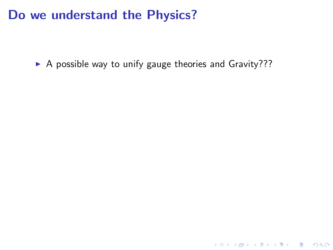▶ A possible way to unify gauge theories and Gravity???

K ロ ▶ K @ ▶ K 할 ▶ K 할 ▶ ( 할 ) 19 Q Q ·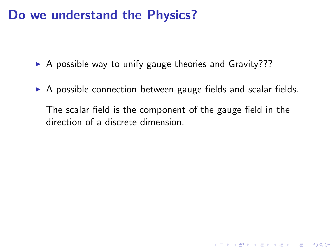$\triangleright$  A possible way to unify gauge theories and Gravity???

▶ A possible connection between gauge fields and scalar fields.

The scalar field is the component of the gauge field in the direction of a discrete dimension.

**KORK EXTERNE PROVIDE**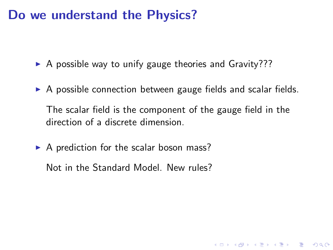- $\triangleright$  A possible way to unify gauge theories and Gravity???
- $\triangleright$  A possible connection between gauge fields and scalar fields.

The scalar field is the component of the gauge field in the direction of a discrete dimension.

**ADD YEARS ARA YOUR** 

 $\triangleright$  A prediction for the scalar boson mass?

Not in the Standard Model. New rules?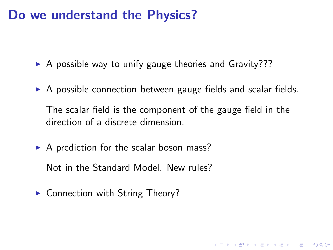- $\triangleright$  A possible way to unify gauge theories and Gravity???
- $\triangleright$  A possible connection between gauge fields and scalar fields.

The scalar field is the component of the gauge field in the direction of a discrete dimension.

**ADD YEARS ARA YOUR** 

 $\triangleright$  A prediction for the scalar boson mass?

Not in the Standard Model. New rules?

► Connection with String Theory?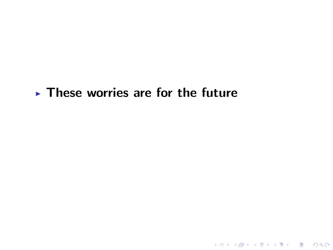## $\blacktriangleright$  These worries are for the future

K ロ ▶ K @ ▶ K 할 ▶ K 할 ▶ 이 할 → 9 Q Q →